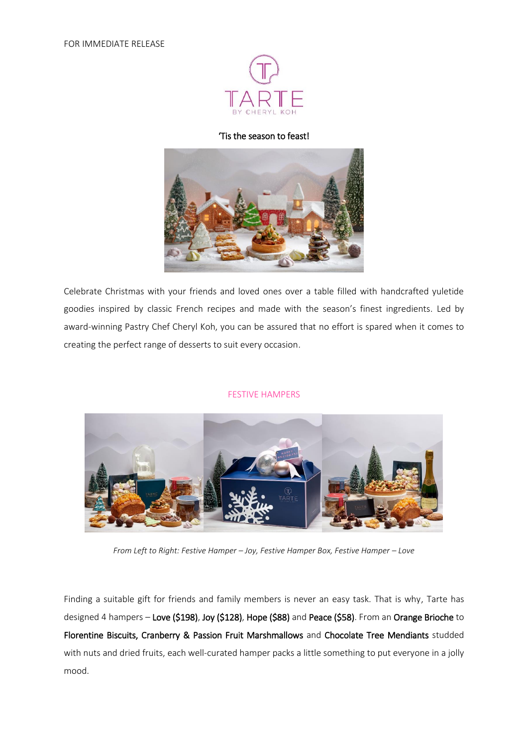

### 'Tis the season to feast!



Celebrate Christmas with your friends and loved ones over a table filled with handcrafted yuletide goodies inspired by classic French recipes and made with the season's finest ingredients. Led by award-winning Pastry Chef Cheryl Koh, you can be assured that no effort is spared when it comes to creating the perfect range of desserts to suit every occasion.

#### FESTIVE HAMPERS



*From Left to Right: Festive Hamper – Joy, Festive Hamper Box, Festive Hamper – Love*

Finding a suitable gift for friends and family members is never an easy task. That is why, Tarte has designed 4 hampers – Love (\$198), Joy (\$128), Hope (\$88) and Peace (\$58). From an Orange Brioche to Florentine Biscuits, Cranberry & Passion Fruit Marshmallows and Chocolate Tree Mendiants studded with nuts and dried fruits, each well-curated hamper packs a little something to put everyone in a jolly mood.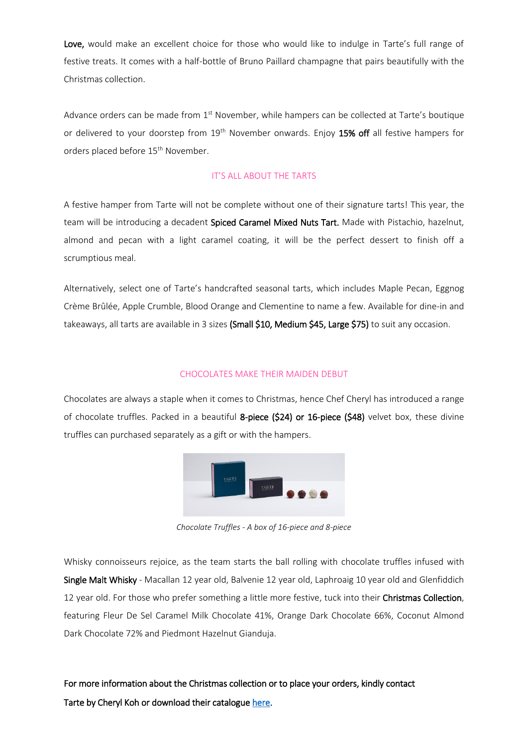Love, would make an excellent choice for those who would like to indulge in Tarte's full range of festive treats. It comes with a half-bottle of Bruno Paillard champagne that pairs beautifully with the Christmas collection.

Advance orders can be made from 1<sup>st</sup> November, while hampers can be collected at Tarte's boutique or delivered to your doorstep from 19<sup>th</sup> November onwards. Enjoy 15% off all festive hampers for orders placed before 15<sup>th</sup> November.

### IT'S ALL ABOUT THE TARTS

A festive hamper from Tarte will not be complete without one of their signature tarts! This year, the team will be introducing a decadent Spiced Caramel Mixed Nuts Tart. Made with Pistachio, hazelnut, almond and pecan with a light caramel coating, it will be the perfect dessert to finish off a scrumptious meal.

Alternatively, select one of Tarte's handcrafted seasonal tarts, which includes Maple Pecan, Eggnog Crème Brûlée, Apple Crumble, Blood Orange and Clementine to name a few. Available for dine-in and takeaways, all tarts are available in 3 sizes (Small \$10, Medium \$45, Large \$75) to suit any occasion.

#### CHOCOLATES MAKE THEIR MAIDEN DEBUT

Chocolates are always a staple when it comes to Christmas, hence Chef Cheryl has introduced a range of chocolate truffles. Packed in a beautiful 8-piece (\$24) or 16-piece (\$48) velvet box, these divine truffles can purchased separately as a gift or with the hampers.



*Chocolate Truffles - A box of 16-piece and 8-piece*

Whisky connoisseurs rejoice, as the team starts the ball rolling with chocolate truffles infused with Single Malt Whisky - Macallan 12 year old, Balvenie 12 year old, Laphroaig 10 year old and Glenfiddich 12 year old. For those who prefer something a little more festive, tuck into their Christmas Collection. featuring Fleur De Sel Caramel Milk Chocolate 41%, Orange Dark Chocolate 66%, Coconut Almond Dark Chocolate 72% and Piedmont Hazelnut Gianduja.

For more information about the Christmas collection or to place your orders, kindly contact Tarte by Cheryl Koh or download their catalogu[e here.](https://www.tarte.com.sg/wp-content/themes/tarte/pdf/Christmas-Collection-2018.pdf?misc=20181101_060903)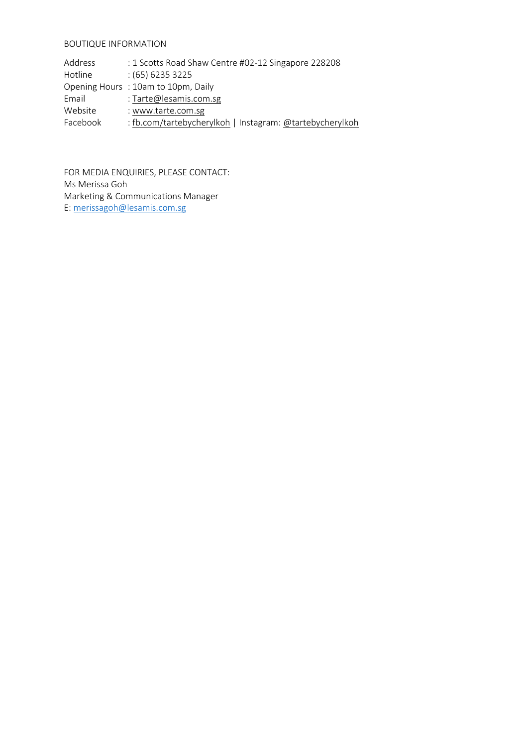## BOUTIQUE INFORMATION

| Address  | : 1 Scotts Road Shaw Centre #02-12 Singapore 228208      |
|----------|----------------------------------------------------------|
| Hotline  | $(65)$ 6235 3225                                         |
|          | Opening Hours: 10am to 10pm, Daily                       |
| Email    | : Tarte@lesamis.com.sg                                   |
| Website  | : www.tarte.com.sg                                       |
| Facebook | : fb.com/tartebycherylkoh   Instagram: @tartebycherylkoh |

FOR MEDIA ENQUIRIES, PLEASE CONTACT: Ms Merissa Goh Marketing & Communications Manager E: [merissagoh@lesamis.com.sg](mailto:merissagoh@lesamis.com.sg)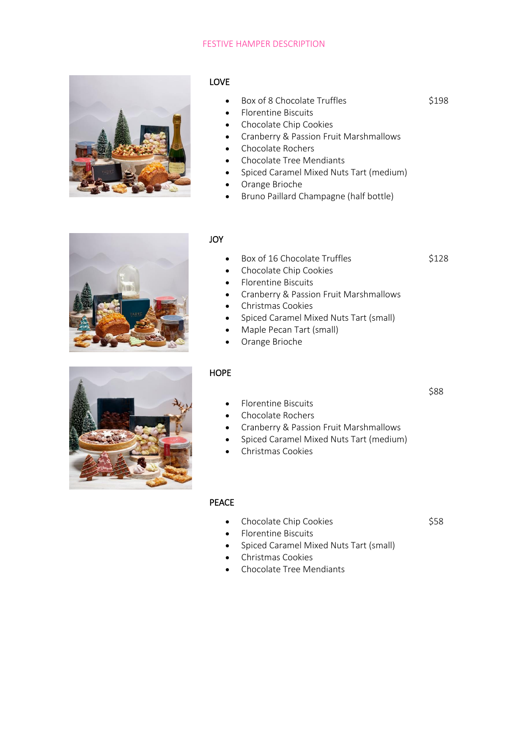### FESTIVE HAMPER DESCRIPTION



# LOVE

- Box of 8 Chocolate Truffles
- Florentine Biscuits
- Chocolate Chip Cookies
- Cranberry & Passion Fruit Marshmallows
- Chocolate Rochers
- Chocolate Tree Mendiants
- Spiced Caramel Mixed Nuts Tart (medium)
- Orange Brioche
- Bruno Paillard Champagne (half bottle)



# JOY

- Box of 16 Chocolate Truffles
	- Chocolate Chip Cookies
- Florentine Biscuits
- Cranberry & Passion Fruit Marshmallows
- Christmas Cookies
- Spiced Caramel Mixed Nuts Tart (small)
- Maple Pecan Tart (small)
- Orange Brioche

# **HOPE**

\$88

\$198

\$128



- Florentine Biscuits
- Chocolate Rochers
- Cranberry & Passion Fruit Marshmallows
- Spiced Caramel Mixed Nuts Tart (medium)
- Christmas Cookies

# PEACE

• Chocolate Chip Cookies

\$58

- Florentine Biscuits
- Spiced Caramel Mixed Nuts Tart (small)
- Christmas Cookies
- Chocolate Tree Mendiants